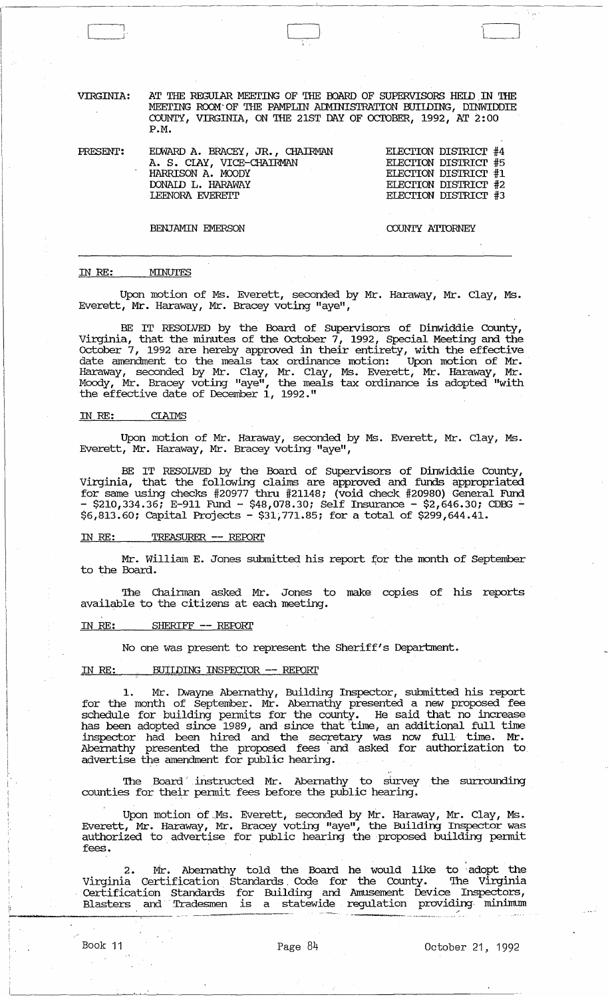VIRGINIA: AT THE REGULAR MEETING OF THE BOARD OF SUPERVISORS HELD IN THE MEETING ROOM OF THE PAMPLIN ADMINISTRATION BUILDING, DINWIDDIE COUNTY, VIRGINIA, ON THE 21ST DAY OF ocroBER, 1992, AT 2: 00 P.M.

| PRESENT: | EDWARD A. BRACEY, JR., CHAIRMAN | ELECTION DISTRICT #4 |
|----------|---------------------------------|----------------------|
|          | A. S. CLAY, VICE-CHAIRMAN       | ELECTION DISTRICT #5 |
|          | HARRISON A. MOODY               | ELECTION DISTRICT #1 |
|          | DONAID L. HARAWAY               | ELECTION DISTRICT #2 |
|          | <b>LEENORA EVERETT</b>          | ELECTION DISTRICT #3 |
|          |                                 |                      |

BENJAMIN EMERSON COUNTY ATTORNEY

#### **MINUTES** IN RE:

Upon motion of Ms. Everett, seconded by Mr. Haraway, Mr. Clay, Ms. Everett, Mr. Haraway, Mr. Bracey voting "aye",

BE IT RESOLVED by the Board of Supervisors of Dinwiddie County, Virginia, that the minutes of the October  $7,$  1992, Special Meeting and the October 7, 1992 are hereby approved in their entirety, with the effective date amendment to the meals tax ordinance motion: Upon motion of Mr. Haraway, seconded by Mr. Clay, Mr. Clay, Ms. Everett, Mr. Haraway, Mr. Moody, Mr. Bracey voting "aye", the meals tax ordinance is adopted "with the effective date of December 1, 1992."

#### IN RE: CIAIMS

Upon motion of Mr. Haraway, seconded by Ms. Everett, Mr. Clay, Ms. Everett, Mr. Haraway, Mr. Bracey voting "aye",

BE IT RESOLVED by the Board of Supervisors of Dinwiddie County, Virginia, that the following claims are approved and funds appropriated for same using checks #20977 thru #21148; (void check #20980) General Fund  $-$  \$210,334.36; E-911 Fund - \$48,078.30; Self Insurance - \$2,646.30; CDBG -\$6,813.60: capital Projects - \$31,771.85: for a total of \$299,644.41.

#### IN RE: TREASURER -- REFORl'

Mr. William E. Jones submitted his report for the month of September to the Board.

'!he Chairman asked Mr. Jones to make copies of his reports available to the citizens at each meeting.

#### IN RE: SHERIFF -- REPORT

No one was present to represent the Sheriff's Department.

#### IN RE: BUILDING INSPECTOR -- REPORT

1. Mr. Thvayne Abernathy, Building Inspector, submitted his report for the month of September. Mr. Abernathy presented a new proposed fee schedule for building permits for the county. He said that no increase has been adopted since 1989, and since that time, an additional full time inspector had been hired and the secretary was now full· time. Mr. Abernathy presented the proposed fees 'and asked for authorization to. advertise the amendment for public hearing.

The Board instructed Mr. Abernathy to survey the surrounding counties for their permit fees before the public hearing.

Upon motion of Ms. Everett, seconded by Mr. Haraway, Mr. Clay, Ms. Everett, Mr. Haraway, Mr. Bracey voting "aye", the Building Inspector was authorized to advertise for public hearing the proposed building permit fees.

2. Mr. Abernathy told the Board he would like to adopt the Virginia Certification Standards, Code for the County. '!he Virginia Certification Standards for Building and Amusement Device Inspectors, externation bushames for Barraing and Innabandie Borroe Inspectors,

**......... v!te**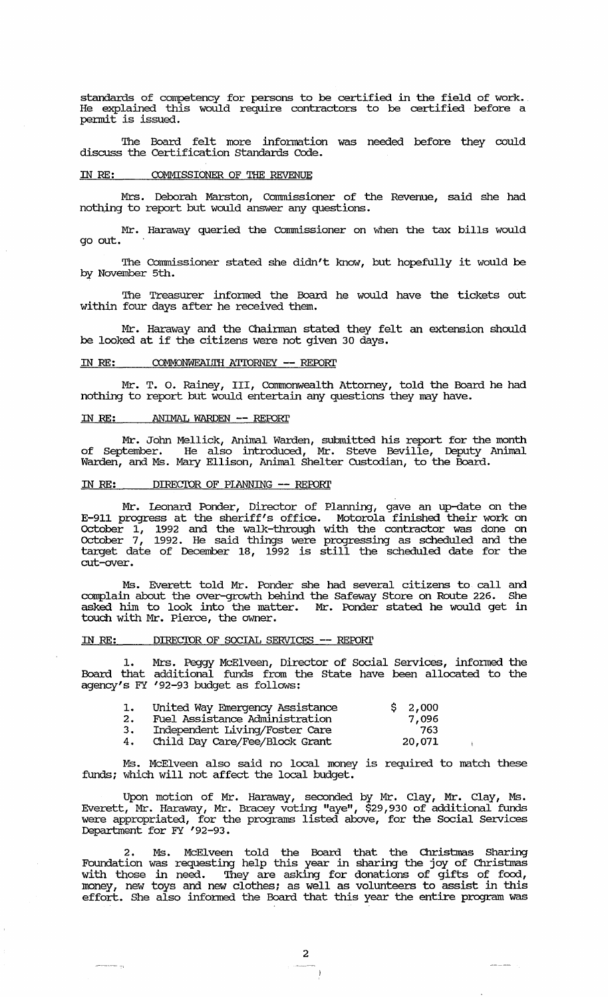standards of competency for persons to be certified in the field of work. He explained this would require contractors to be certified before a permit is issued.

The Board felt more infonnation was needed before they could discuss the Certification standards Code.

## IN RE: COMMISSIONER OF THE REVENUE

Mrs. Deborah Marston, Commissioner of the Revenue, said she had nothing to report but would answer any questions.

Mr. Haraway queried the Commissioner on when the tax bills would go out.

The Commissioner stated she didn't know, but hopefully it would be by November 5th.

The Treasurer informed the Board he would have the tickets out within four days after he received them.

Mr. Haraway and the Chainnan stated they felt an extension should be looked at if the citizens were not given 30 days.

#### IN RE: COMMONWEALTH ATTORNEY -- REPORT

Mr. T. o. Rainey, III, Commonwealth Attorney, told the Board he had nothing to report but would entertain any questions they may have.

#### IN *RE:* ANIMAL WARDEN -- REFORl'

Mr. John Mellick, Animal Warden, submitted his report for the month of September. He also introduced, Mr. Steve Beville, Deputy Animal Warden, and Ms. Mary Ellison, Animal Shelter CUstodian, to the Board.

### IN *RE:* DIRECIOR OF PIANNING -- *REFORl'*

Mr. leonard Ponder, Director of Planning, gave an up-date on the E-9l1 progress at the sheriff's office. Motorola finished their work on October  $1$ , 1992 and the walk-through with the contractor was done on october 7, 1992. He said things were progressing as scheduled and the target date of December 18, 1992 is still the scheduled date for the cut-over.

Ms. Everett told Mr. Ponder she had several citizens to· call and complain about the over-growth behind the Safeway Store on Route 226. She asked him to look into the matter. Mr. Ponder stated he would get in touch with Mr. Pierce, the owner.

#### IN *RE:* DIRECIOR OF SOCIAL SERVICES -- REFORl'

1. Mrs. Peggy McElveen, Director of Social Services, informed the Board that additional funds from the State have been allocated to the agency's FY '92-93 budget as follows:

| 1. | United Way Emergency Assistance | \$2,000 |
|----|---------------------------------|---------|
| 2. | Fuel Assistance Administration  | 7,096   |
| з. | Independent Living/Foster Care  | 763     |
| 4. | Child Day Care/Fee/Block Grant  | 20,071  |

Ms. McElveen also said no local money is required to match these funds; which will not affect the local budget.

Upon motion of Mr. Haraway, seconded by Mr. Clay, Mr. Clay, Ms. Everett, Mr. Haraway, Mr. Bracey voting "aye", \$29,930 of additional funds were appropriated, for the programs listed above, for the Social services Department for FY ' 92-93.

2. Ms. McElveen told the Board that the Christmas Sharing Foundation was requesting help this year in sharing the joy of Christmas with those in need. They are asking for donations of gifts of food, money, new toys and new clothes; as well as volunteers to assist in this effort. She also informed the Board that this year the entire program was

 $\frac{1}{2} \frac{1}{2} \left( \frac{1}{2} \frac{1}{2} \frac{1}{2} \frac{1}{2} \frac{1}{2} \frac{1}{2} \frac{1}{2} \frac{1}{2} \frac{1}{2} \frac{1}{2} \frac{1}{2} \frac{1}{2} \frac{1}{2} \frac{1}{2} \frac{1}{2} \frac{1}{2} \frac{1}{2} \frac{1}{2} \frac{1}{2} \frac{1}{2} \frac{1}{2} \frac{1}{2} \frac{1}{2} \frac{1}{2} \frac{1}{2} \frac{1}{2} \frac{1}{2} \frac{1}{2} \frac{1}{2}$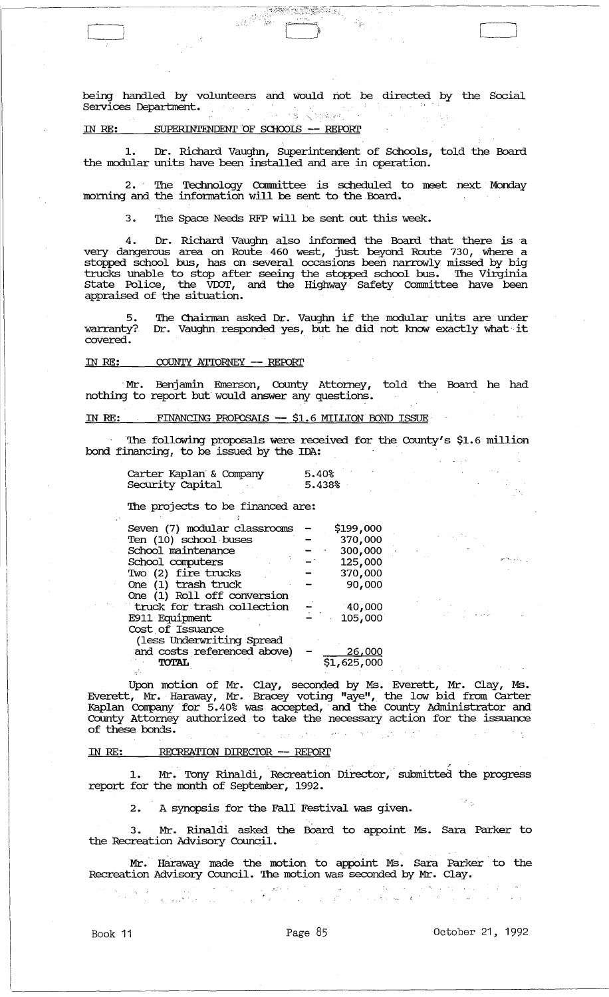being handled by volunteers and would not be directed by the Social services Deparbnent. .'" , . .'

RANG PINASA

## IN *RE:* SUPERINTENDENT "OF SClIOOIS **-- REroRI'**

 $\frac{1}{2} \sum_{i=1}^n \frac{1}{i!}$ 

1. Dr. Richard Vaughn, SUperintendent of Schools, told the Board the modular units have been installed and are in operation.

2. The Technology connnittee is scheduled to meet next Monday morning and the information will be sent to the Board.

3. The Space Needs RFP will be sent out this week.

4. Dr. Richard Vaughn also informed the Board that there is a very dangerous area on Route 460 west, just beyond Route 730, where a stopped school bus, has on several occasions been narrowly missed by big trucks unable to stop after seeing the stopped school bus. The Virginia state Police, the vror, and the Highway Safety connnittee have been appraised of the situation.

5. warranty? covered. The Chainnan asked Dr. Vaughn if the modular units are under Dr. Vaughn responded yes, but he did not know exactly what'it

## IN RE: COUNTY ATTORNEY -- REPORT

, Mr. Benjamin Emerson, County Attorney, told the Board he had nothing to report but would answer any questions.

## IN *RE:* 'FINANCING PRQrosAIS **--** \$1. 6 MILLION OOND ISSUE

The following proposals were received for the County's \$1.6 million bond financing, to be issued by the IDA:

| Carter Kaplan & Company | 5.40%  |
|-------------------------|--------|
| Security Capital        | 5.438% |

The projects to be financed are:

| Seven (7) modular classrooms |  | \$199,000   |  |
|------------------------------|--|-------------|--|
| Ten (10) school buses        |  | 370,000     |  |
| School maintenance           |  | 300,000     |  |
| School computers             |  | 125,000     |  |
| Two (2) fire trucks          |  | 370,000     |  |
| One (1) trash truck          |  | 90,000      |  |
| One (1) Roll off conversion  |  |             |  |
| truck for trash collection   |  | 140,000     |  |
| E911 Equipment               |  | 105,000     |  |
| Cost of Issuance             |  |             |  |
| (less Underwriting Spread    |  |             |  |
| and costs referenced above)  |  | 26,000      |  |
| <b>TOTAL</b>                 |  | \$1,625,000 |  |
|                              |  |             |  |

Upon motion of Mr. Clay, seconded by Ms. Everett, Mr. Clay, Ms. Everett, Mr. Haraway, Mr. Bracey voting "aye", the low bid from carter Kaplan Company' for 5.40% was accepted, 'and the County Administrator and County Attorney authorized to take the necessary action for the issuance of these bonds.  $\langle \rho \rangle \propto \langle \rho \rangle$ **Control** 

#### IN *RE:* RECREATION DIRECIOR **--** REroRI'

an an Saothar<br>Saothar Aonaich

1. Mr. Tony Rinaldi, Recreation Director, submitted the progress report for the month of September, 1992.

2. A synopsis for the Fall Festival was given.

3. Mr. Rinaldi asked the Board to appoint Ms. Sara Parker to the Recreation Advisory Council.

Mr. Haraway made the motion to appoint Ms. Sara Parker to the Recreation Advisory Council. The motion was seconded by Mr. Clay.

.<br>• Substitution of the second contract of the second contract of the second<br>respectively. The second contract of the second contract of the second contract of the second contract of<br>  $\mathcal{P}_\text{c}$ 

المتحولة

Book 11 **Page 85** October 21, 1992

 $r_{\rm e} \sim 1$ 

 $\begin{bmatrix} \begin{bmatrix} 1 & 1 \\ 1 & 1 \end{bmatrix} & \begin{bmatrix} 1 & 1 \\ 1 & 1 \end{bmatrix} & \begin{bmatrix} 1 & 1 \\ 1 & 1 \end{bmatrix} & \begin{bmatrix} 1 & 1 \\ 1 & 1 \end{bmatrix} & \begin{bmatrix} 1 & 1 \\ 1 & 1 \end{bmatrix} & \begin{bmatrix} 1 & 1 \\ 1 & 1 \end{bmatrix} & \begin{bmatrix} 1 & 1 \\ 1 & 1 \end{bmatrix} & \begin{bmatrix} 1 & 1 \\ 1 & 1 \end{bmatrix} & \begin{bmatrix} 1 & 1 \\ 1 & 1 \end{bmatrix$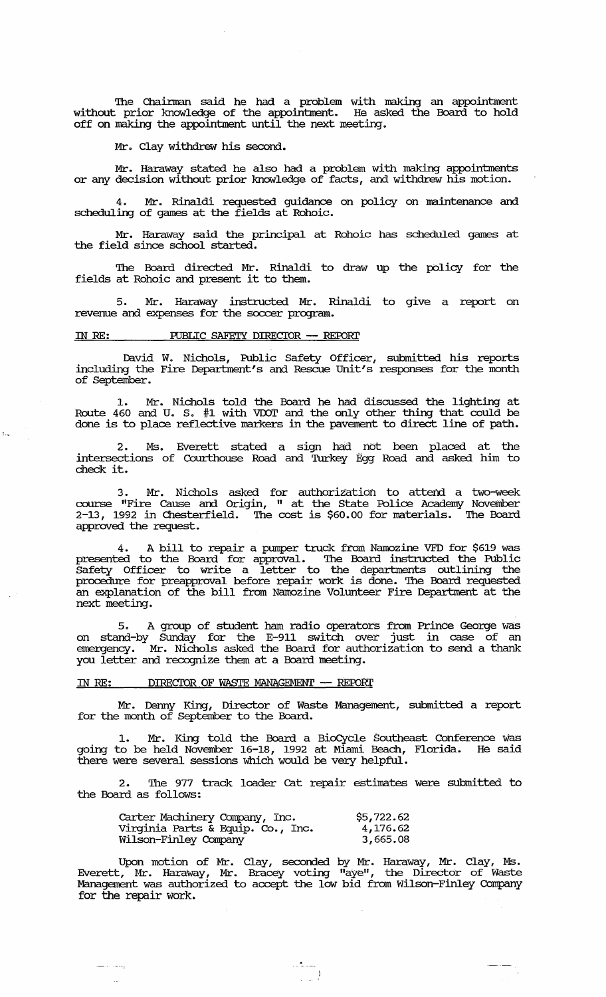The Chairman said he had a problem with making an appointment without prior knowledge of the appointment. He asked the Board to hold off on making the appointment until the next meeting.

Mr. Clay withdrew his second.

Mr. Haraway stated he also had a problem with making appointments or any decision without prior knowledge of facts, and withdrew his motion.

4. Mr. Rinaldi requested guidance on policy on maintenance and scheduling of games at the fields at Rohoic.

Mr. Haraway said the principal at Rohoic has scheduled games at the field since school started.

The Board directed Mr. Rinaldi to draw up the policy for the fields at Rohoic and present it to them.

5. Mr. Haraway instructed Mr. Rinaldi to give a report on revenue and expenses for the soccer program.

### IN RE: PUBLIC SAFETY DIRECTOR -- REPORT

54

David W. Nichols, Public Safety Officer, submitted his reports including the Fire Department's and Rescue unit's responses for the month of September.

1. Mr. Nichols told the Board he had discussed the lighting at Route  $460$  and  $U$ . S.  $#1$  with  $VDOT$  and the only other thing that could be done is to place reflective markers in the pavement to direct line of path.

2. Ms. Everett stated a sign had not been placed at the intersections of Courthouse Road and 'lUrkey Egg Road and asked him to check it.

3. Mr. Nichols asked for authorization to attend a two-week course "Fire cause and origin, " at the state Police Academy November 2-13, 1992 in Chesterfield. The cost is \$60.00 for materials. The Board approved the request.

4. A bill to repair a pumper truck from Namozine VFD for \$619 was presented to the Board for approval. The Board instructed the Public Safety Officer to write a letter to the departments outlining the procedure for preapproval before repair work is done. The Board requested an explanation of the bill from Namozine Volunteer Fire Department at the next meeting.

5. A group of student ham radio operators from Prince George was on stand-by SUnday for the E-911 switch over just in case of an emergency. Mr. Nichols asked the Board for authorization to send a thank you letter and recognize them at a Board meeting.

## IN RE: DIRECTOR OF WASTE MANAGEMENT -- REPORT

أوياء أناد أستنا

 $\mathbb{R}^2$ 

Mr. Denny King, Director of Waste Management, submitted a report for the month of September to the Board.

1. Mr. King told the Board a BioCycle Southeast Conference was going to be held November 16-18, 1992 at Miami Beach, Florida. He said there were several sessions which would be very helpful.

2. The 977 track loader cat repair estimates were submitted to the Board as follows:

| Carter Machinery Company, Inc.    | \$5,722.62 |
|-----------------------------------|------------|
| Virginia Parts & Equip. Co., Inc. | 4,176.62   |
| Wilson-Finley Company             | 3,665,08   |

Upon motion of Mr. Clay, seconded by Mr. Haraway, Mr. Clay, Ms. Everett, Mr. Haraway, Mr. Bracey voting "aye", the Director of Waste Management was authorized to accept the low bid from Wilson-Finley Company for the repair work.

 $\frac{1}{2}$  )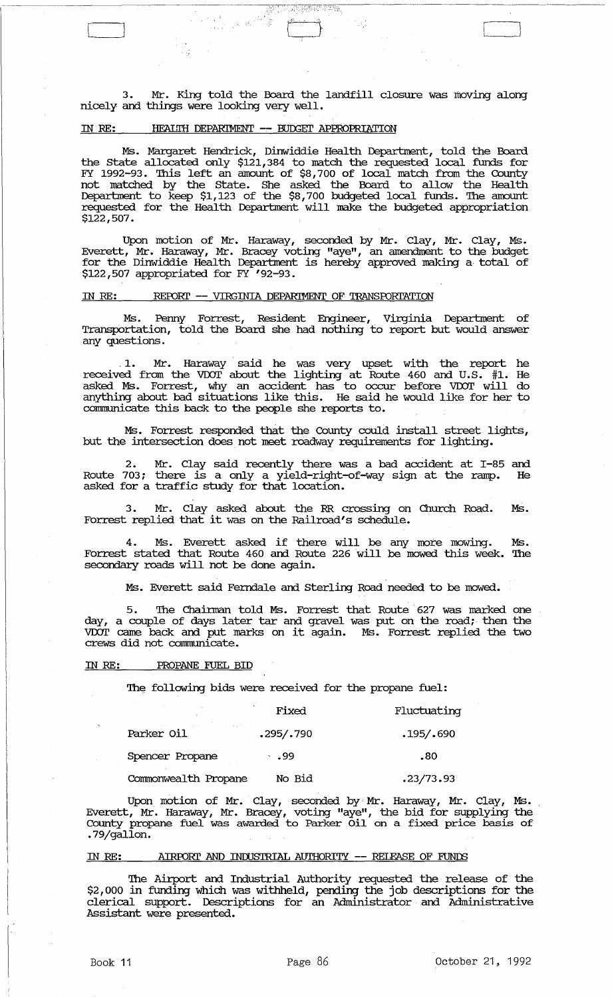3. Mr. King told the Board the landfill closure was moving along nicely and things were looking very well.

R.

 $\frac{1}{\sqrt{2}}$ 

#### IN RE: **HEALITH DEPARIMENT -- BUDGET APPROPRIATION**

Йź

Ms. Margaret Hendrick, Dinwiddie Health Department, told the Board the state allocated only \$121,384 to match the requested local funds for FY 1992-93. This left an amount of \$8,700 of local match from the County not matched by the state. She asked the Board to allow the Health Department to keep \$1,123 of the \$8,700 budgeted local funds. The amount requested for the Health Department will make the budgeted appropriation \$122,507.

Upon motion of Mr. Haraway, seconded by Mr. Clay, Mr. Clay, Ms. Everett, Mr. Haraway, Mr. Bracey voting "aye", an amendment to the budget for the Dinwiddie Health Department is hereby approved making a total of \$122,507 appropriated for FY '92-93.

# IN RE: REPORT -- VIRGINIA DEPARIMENT OF TRANSFORTATION

Ms. Penny Forrest, Resident Engineer, Virginia Department of Transportation, told the Board she had nothing to report but would answer any questions .

.1. Mr. Haraway said he was very upset with the report he received from the voor about the lighting at Route 460 and U.S. #1. He asked Ms. Forrest, why an accident has to occur before VDOT will do anything about bad situations like this. He said he would like for her to communicate this back to the people she reports to.

Ms. Forrest responded that the County could install street lights, but the intersection does not meet roadway requirements for lighting.

2. Mr. Clay said recently there was a bad accident at I-85 and Route 703; there is a only a yield-right-of-way sign at the ramp. He asked for a traffic study for that location.

3. Mr. Clay asked about the RR crossing on Church Road. Ms. Forrest replied that it was on the Railroad's schedule.

4. Ms. Everett asked if there will be any more mowing. Ms. Forrest stated that Route 460 and Route 226 will be mowed this week. The secondary roads will not be done again.

Ms. Everett said Ferndale and Sterling Road needed to be mowed.

The Chairman told Ms. Forrest that Route 627 was marked one day, a couple of days later tar and gravel was put on the road; then the VDOT came back and put marks on it again. Ms. Forrest replied the two crews did not communicate.

#### IN *RE:* PROPANE FUEL BID

The following bids were received for the propane fuel:

|                      | Fixed      | Fluctuating |
|----------------------|------------|-------------|
| Parker Oil           | .295/.790  | .195/.690   |
| Spencer Propane      | $\sim$ .99 | .80         |
| Commonwealth Propane | No Bid     | .23/73.93   |

Upon. motion of Mr. Clay, seconded by' Mr. Haraway, Mr. Clay, Ms. . Everett, Mr. Haraway, Mr. Bracey, voting "aye", the bid for supplying the County propane fuel was awarded to Parker Oil on a fixed price basis of . 79/gallon.

### IN *RE:* AIRroRl' AND INOOSTRIAL AUTHORITY **--** RElEASE OF FUNDS

The Airport and Industrial Authority requested the release of the \$2,000 in funding which was withheld, pending the job descriptions for the clerical support. Descriptions for an Administrator and Administrative Assistant were presented.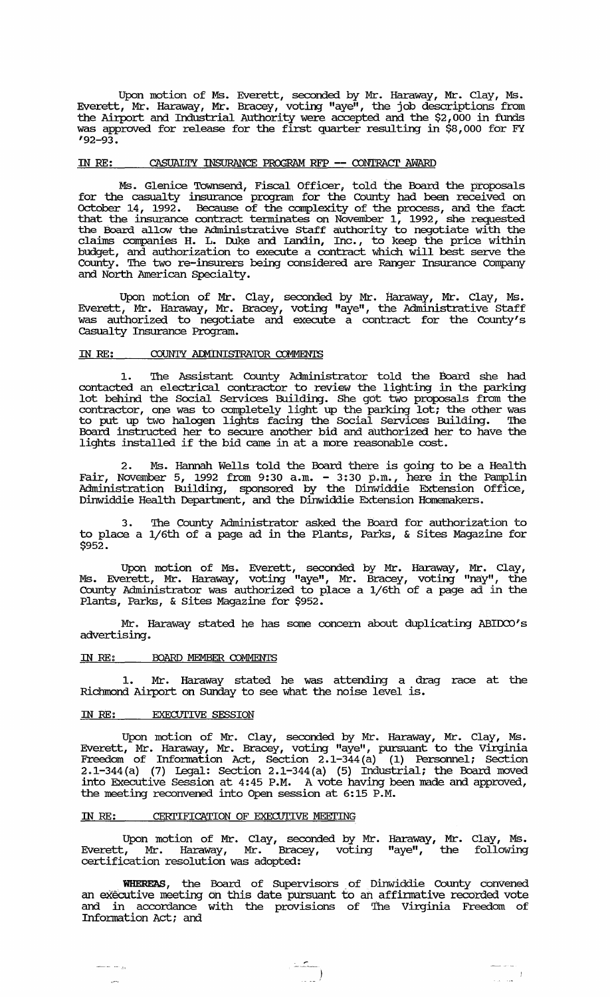Upon motion of Ms. Everett, seconded by Mr. Haraway, Mr. Clay, Ms. Everett, Mr. Haraway, Mr. Bracey, voting "aye", the job descriptions from the Airport and Industrial Authority were accepted and the \$2, 000 in funds was approved for release for the first quarter resulting in \$8,000 for FY  $192 - 93.$ 

### IN RE: CASUALITY INSURANCE PROGRAM RFP -- CONTRACT AWARD

Ms. Glenice Townsend, Fiscal Officer, told the Board the proposals for the casualty insurance program for the County had been received on October 14, 1992. Because of the complexity of the process, and the fact that the insurance contract tenninates on November 1, 1992, she requested the Board allow the Administrative staff authority to negotiate with the claims companies H. L. Duke and Landin, Inc., to keep the price within budget, and authorization to execute a contract which will best serve the County. '!he two re-insurers being considered are Ranger Insurance company and North American Specialty.

Upon motion of Mr. Clay, seconded by Mr. Haraway, Mr. Clay, Ms. Everett, Mr. Haraway, Mr. Bracey, voting "aye", the Administrative staff was authorized to negotiate and execute a contract for the County's casualty Insurance Program.

# IN RE: COUNTY ADMINISTRATOR COMMENTS

1. The Assistant County Administrator told the Board she had contacted an electrical contractor to review the lighting in the parking lot behind the Social services Building. She got two proposals from the contractor, one was to completely light up the parking lot; the other was to put up two halogen lights facing the Social services Building. '!he Board instructed her to secure another bid and authorized her to have the lights installed if the bid came in at a more reasonable cost.

2. Ms. Hannah Wells told the Board there is going to be a Health Fair, November 5, 1992 from 9:30 a.m. - 3:30 p.m., here in the Pamplin Administration Building, sponsored by the Dinwiddie Extension Office, Dinwiddie Health Deparbnent, and the Dinwiddie Extension Homemakers.

3. The County Administrator asked the Board for authorization to to place a 1/6th of a page ad in the Plants, Parks, & sites Magazine for \$952.

Upon motion of Ms. Everett, seconded by Mr. Haraway, Mr. Clay, Ms. Everett, Mr. Haraway, voting "aye", Mr. Bracey, voting "nay", the County Administrator was authorized to place a 1/6th of a page ad in the Plants, Parks, & sites Magazine for \$952.

Mr. Haraway stated he has some concern about duplicating ABIDCO's advertising .

# IN RE: BOARD MEMBER COMMENTS

1. Mr. Haraway stated he was attending a drag race at the Richmond Airport on Sunday to see what the noise level is.

#### IN RE: EXECUTIVE SESSION

ana sa <sub>di</sub>

ومبرر

Upon motion of Mr. Clay, seconded by Mr. Haraway, Mr. Clay, Ms. Everett, Mr. Haraway, Mr. Bracey, voting "aye", pursuant to the Virginia Freedom of Infonnation Act, Section 2.1-344 (a) (1) Personnel; Section 2.1-344 (a) (7) Legal: Section 2.1-344(a) (5) Industrial; the Board moved E. B. A. (1) Explit Secution 2:1 State (3) Industrial, the Board moved the meeting reconvened into Open session at 6:15 P.M.

#### IN RE: CERTIFICATION OF EXECUTIVE MEETING

Upon motion of Mr. Clay, seconded by Mr. Haraway, Mr. Clay, Ms. Everett, Mr. Haraway, Mr. Bracey, voting "aye", the following certification resolution was adopted:

WHEREAS, the Board of Supervisors of Dinwiddie County convened an eXecutive meeting on this date pursuant to an affinnative recorded vote and in accordance with the provisions of The Virginia Freedom of Information Act; and

 $\frac{1}{\left(1-\frac{1}{\sqrt{2}}\right)^{2}}$ 

 $\sim 10^{-11}$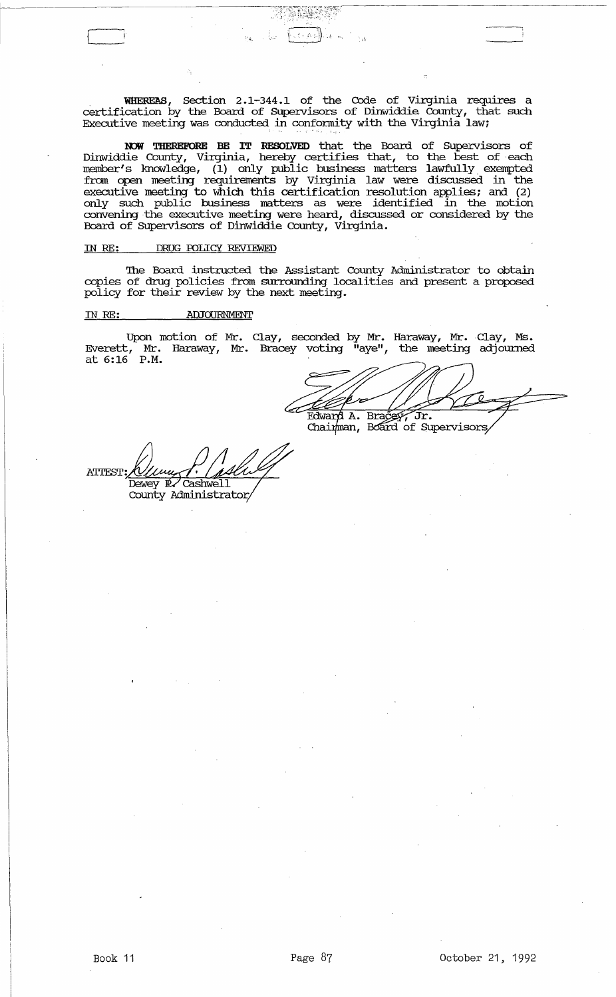· **WHER.E1\S,** section 2.1-344.1 of the Code of Virginia requires a certification by the Board of supervisors of Dinwiddie County, that such Executive meeting was conducted in conformity with the Virginia law;

RJW THEREFORE BE IT **RESOLVED** that the Board of supervisors of Dinwiddie County, Virginia, hereby certifies that, to the best of ·each member's lmowledge, (1) only public business matters lawfully exempted from open meeting requirements by Virginia law were discussed in the executive meeting to which this certification resolution applies; and (2) only such public business matters as were identified in the motion convening the executive meeting were heard, discussed or considered by the Board of SUpervisors of Dinwiddie County, virginia.

#### IN *RE:* DRUG roLICY REVIEWED

The Board instructed the Assistant County Administrator to obtain copies of drug policies from surrounding localities and present a proposed policy for their review by the next meeting.

# IN *RE:* ADJOURNMENT

Upon motion of Mr. Clay, seconded by Mr. Haraway, Mr. Clay, Ms. Everett, Mr. Haraway, Mr. Bracey voting "aye", the meeting adjourned  $\frac{1}{2}$  at 6:16 P.M.

Edward A. Bracey, Jr.<br>Chaimman, Board of Supervisors,

**ATTEST:** Dewey R Cashwell County Administrator